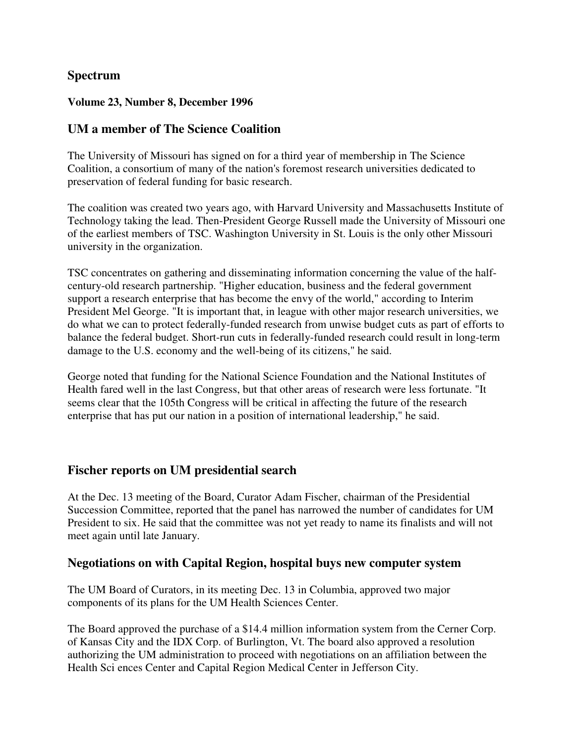### **Spectrum**

#### **Volume 23, Number 8, December 1996**

### **UM a member of The Science Coalition**

The University of Missouri has signed on for a third year of membership in The Science Coalition, a consortium of many of the nation's foremost research universities dedicated to preservation of federal funding for basic research.

The coalition was created two years ago, with Harvard University and Massachusetts Institute of Technology taking the lead. Then-President George Russell made the University of Missouri one of the earliest members of TSC. Washington University in St. Louis is the only other Missouri university in the organization.

TSC concentrates on gathering and disseminating information concerning the value of the halfcentury-old research partnership. "Higher education, business and the federal government support a research enterprise that has become the envy of the world," according to Interim President Mel George. "It is important that, in league with other major research universities, we do what we can to protect federally-funded research from unwise budget cuts as part of efforts to balance the federal budget. Short-run cuts in federally-funded research could result in long-term damage to the U.S. economy and the well-being of its citizens," he said.

George noted that funding for the National Science Foundation and the National Institutes of Health fared well in the last Congress, but that other areas of research were less fortunate. "It seems clear that the 105th Congress will be critical in affecting the future of the research enterprise that has put our nation in a position of international leadership," he said.

#### **Fischer reports on UM presidential search**

At the Dec. 13 meeting of the Board, Curator Adam Fischer, chairman of the Presidential Succession Committee, reported that the panel has narrowed the number of candidates for UM President to six. He said that the committee was not yet ready to name its finalists and will not meet again until late January.

#### **Negotiations on with Capital Region, hospital buys new computer system**

The UM Board of Curators, in its meeting Dec. 13 in Columbia, approved two major components of its plans for the UM Health Sciences Center.

The Board approved the purchase of a \$14.4 million information system from the Cerner Corp. of Kansas City and the IDX Corp. of Burlington, Vt. The board also approved a resolution authorizing the UM administration to proceed with negotiations on an affiliation between the Health Sci ences Center and Capital Region Medical Center in Jefferson City.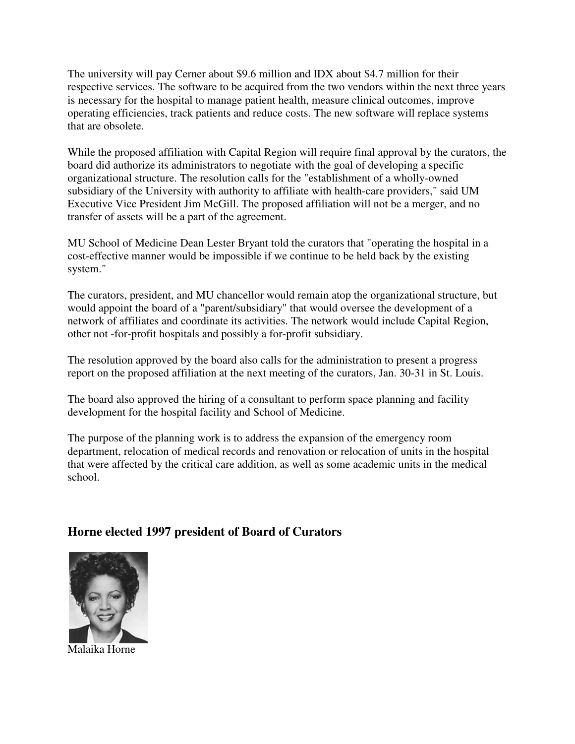The university will pay Cerner about \$9.6 million and IDX about \$4.7 million for their respective services. The software to be acquired from the two vendors within the next three years is necessary for the hospital to manage patient health, measure clinical outcomes, improve operating efficiencies, track patients and reduce costs. The new software will replace systems that are obsolete.

While the proposed affiliation with Capital Region will require final approval by the curators, the board did authorize its administrators to negotiate with the goal of developing a specific organizational structure. The resolution calls for the "establishment of a wholly-owned subsidiary of the University with authority to affiliate with health-care providers," said UM Executive Vice President Jim McGill. The proposed affiliation will not be a merger, and no transfer of assets will be a part of the agreement.

MU School of Medicine Dean Lester Bryant told the curators that "operating the hospital in a cost-effective manner would be impossible if we continue to be held back by the existing system."

The curators, president, and MU chancellor would remain atop the organizational structure, but would appoint the board of a "parent/subsidiary" that would oversee the development of a network of affiliates and coordinate its activities. The network would include Capital Region, other not -for-profit hospitals and possibly a for-profit subsidiary.

The resolution approved by the board also calls for the administration to present a progress report on the proposed affiliation at the next meeting of the curators, Jan. 30-31 in St. Louis.

The board also approved the hiring of a consultant to perform space planning and facility development for the hospital facility and School of Medicine.

The purpose of the planning work is to address the expansion of the emergency room department, relocation of medical records and renovation or relocation of units in the hospital that were affected by the critical care addition, as well as some academic units in the medical school.

# **Horne elected 1997 president of Board of Curators**



Malaika Horne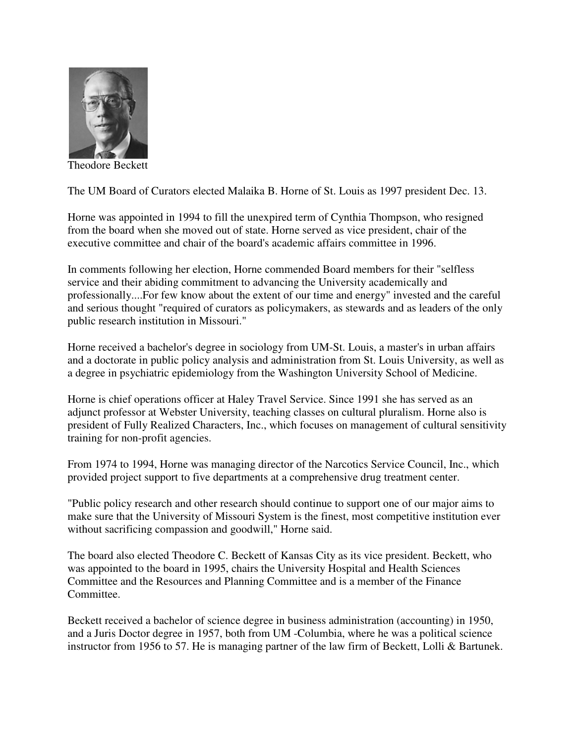

Theodore Beckett

The UM Board of Curators elected Malaika B. Horne of St. Louis as 1997 president Dec. 13.

Horne was appointed in 1994 to fill the unexpired term of Cynthia Thompson, who resigned from the board when she moved out of state. Horne served as vice president, chair of the executive committee and chair of the board's academic affairs committee in 1996.

In comments following her election, Horne commended Board members for their "selfless service and their abiding commitment to advancing the University academically and professionally....For few know about the extent of our time and energy" invested and the careful and serious thought "required of curators as policymakers, as stewards and as leaders of the only public research institution in Missouri."

Horne received a bachelor's degree in sociology from UM-St. Louis, a master's in urban affairs and a doctorate in public policy analysis and administration from St. Louis University, as well as a degree in psychiatric epidemiology from the Washington University School of Medicine.

Horne is chief operations officer at Haley Travel Service. Since 1991 she has served as an adjunct professor at Webster University, teaching classes on cultural pluralism. Horne also is president of Fully Realized Characters, Inc., which focuses on management of cultural sensitivity training for non-profit agencies.

From 1974 to 1994, Horne was managing director of the Narcotics Service Council, Inc., which provided project support to five departments at a comprehensive drug treatment center.

"Public policy research and other research should continue to support one of our major aims to make sure that the University of Missouri System is the finest, most competitive institution ever without sacrificing compassion and goodwill," Horne said.

The board also elected Theodore C. Beckett of Kansas City as its vice president. Beckett, who was appointed to the board in 1995, chairs the University Hospital and Health Sciences Committee and the Resources and Planning Committee and is a member of the Finance Committee.

Beckett received a bachelor of science degree in business administration (accounting) in 1950, and a Juris Doctor degree in 1957, both from UM -Columbia, where he was a political science instructor from 1956 to 57. He is managing partner of the law firm of Beckett, Lolli & Bartunek.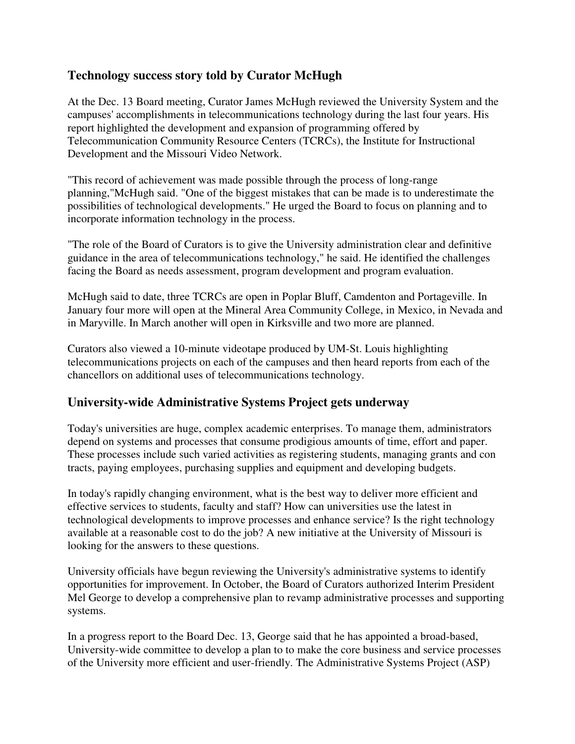## **Technology success story told by Curator McHugh**

At the Dec. 13 Board meeting, Curator James McHugh reviewed the University System and the campuses' accomplishments in telecommunications technology during the last four years. His report highlighted the development and expansion of programming offered by Telecommunication Community Resource Centers (TCRCs), the Institute for Instructional Development and the Missouri Video Network.

"This record of achievement was made possible through the process of long-range planning,"McHugh said. "One of the biggest mistakes that can be made is to underestimate the possibilities of technological developments." He urged the Board to focus on planning and to incorporate information technology in the process.

"The role of the Board of Curators is to give the University administration clear and definitive guidance in the area of telecommunications technology," he said. He identified the challenges facing the Board as needs assessment, program development and program evaluation.

McHugh said to date, three TCRCs are open in Poplar Bluff, Camdenton and Portageville. In January four more will open at the Mineral Area Community College, in Mexico, in Nevada and in Maryville. In March another will open in Kirksville and two more are planned.

Curators also viewed a 10-minute videotape produced by UM-St. Louis highlighting telecommunications projects on each of the campuses and then heard reports from each of the chancellors on additional uses of telecommunications technology.

### **University-wide Administrative Systems Project gets underway**

Today's universities are huge, complex academic enterprises. To manage them, administrators depend on systems and processes that consume prodigious amounts of time, effort and paper. These processes include such varied activities as registering students, managing grants and con tracts, paying employees, purchasing supplies and equipment and developing budgets.

In today's rapidly changing environment, what is the best way to deliver more efficient and effective services to students, faculty and staff? How can universities use the latest in technological developments to improve processes and enhance service? Is the right technology available at a reasonable cost to do the job? A new initiative at the University of Missouri is looking for the answers to these questions.

University officials have begun reviewing the University's administrative systems to identify opportunities for improvement. In October, the Board of Curators authorized Interim President Mel George to develop a comprehensive plan to revamp administrative processes and supporting systems.

In a progress report to the Board Dec. 13, George said that he has appointed a broad-based, University-wide committee to develop a plan to to make the core business and service processes of the University more efficient and user-friendly. The Administrative Systems Project (ASP)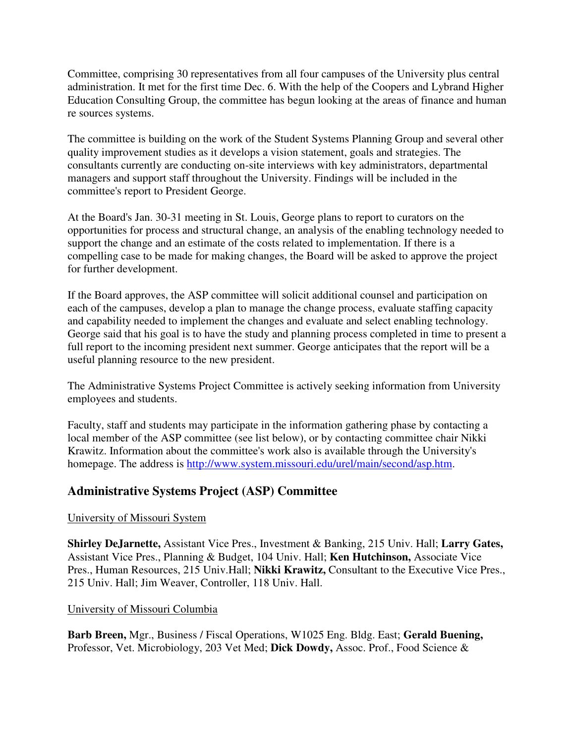Committee, comprising 30 representatives from all four campuses of the University plus central administration. It met for the first time Dec. 6. With the help of the Coopers and Lybrand Higher Education Consulting Group, the committee has begun looking at the areas of finance and human re sources systems.

The committee is building on the work of the Student Systems Planning Group and several other quality improvement studies as it develops a vision statement, goals and strategies. The consultants currently are conducting on-site interviews with key administrators, departmental managers and support staff throughout the University. Findings will be included in the committee's report to President George.

At the Board's Jan. 30-31 meeting in St. Louis, George plans to report to curators on the opportunities for process and structural change, an analysis of the enabling technology needed to support the change and an estimate of the costs related to implementation. If there is a compelling case to be made for making changes, the Board will be asked to approve the project for further development.

If the Board approves, the ASP committee will solicit additional counsel and participation on each of the campuses, develop a plan to manage the change process, evaluate staffing capacity and capability needed to implement the changes and evaluate and select enabling technology. George said that his goal is to have the study and planning process completed in time to present a full report to the incoming president next summer. George anticipates that the report will be a useful planning resource to the new president.

The Administrative Systems Project Committee is actively seeking information from University employees and students.

Faculty, staff and students may participate in the information gathering phase by contacting a local member of the ASP committee (see list below), or by contacting committee chair Nikki Krawitz. Information about the committee's work also is available through the University's homepage. The address is http://www.system.missouri.edu/urel/main/second/asp.htm.

# **Administrative Systems Project (ASP) Committee**

#### University of Missouri System

**Shirley DeJarnette,** Assistant Vice Pres., Investment & Banking, 215 Univ. Hall; **Larry Gates,**  Assistant Vice Pres., Planning & Budget, 104 Univ. Hall; **Ken Hutchinson,** Associate Vice Pres., Human Resources, 215 Univ.Hall; **Nikki Krawitz,** Consultant to the Executive Vice Pres., 215 Univ. Hall; Jim Weaver, Controller, 118 Univ. Hall.

#### University of Missouri Columbia

**Barb Breen,** Mgr., Business / Fiscal Operations, W1025 Eng. Bldg. East; **Gerald Buening,** Professor, Vet. Microbiology, 203 Vet Med; **Dick Dowdy,** Assoc. Prof., Food Science &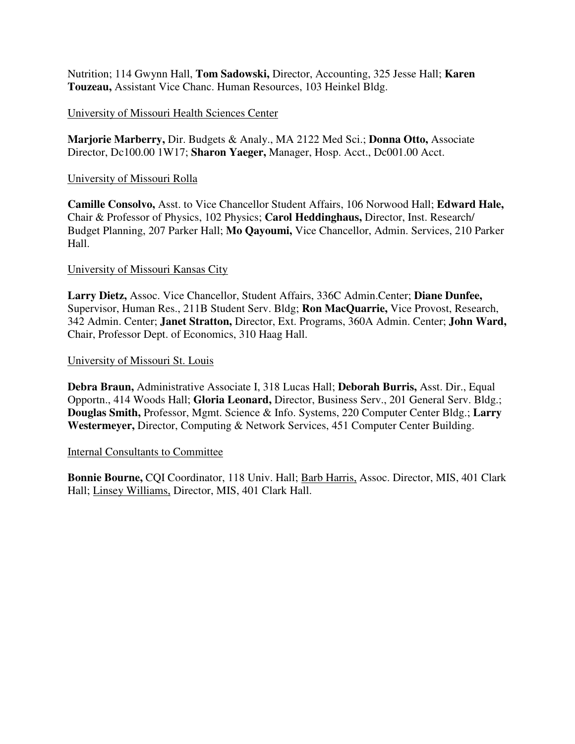Nutrition; 114 Gwynn Hall, **Tom Sadowski,** Director, Accounting, 325 Jesse Hall; **Karen Touzeau,** Assistant Vice Chanc. Human Resources, 103 Heinkel Bldg.

#### University of Missouri Health Sciences Center

**Marjorie Marberry,** Dir. Budgets & Analy., MA 2122 Med Sci.; **Donna Otto,** Associate Director, Dc100.00 1W17; **Sharon Yaeger,** Manager, Hosp. Acct., Dc001.00 Acct.

#### University of Missouri Rolla

**Camille Consolvo,** Asst. to Vice Chancellor Student Affairs, 106 Norwood Hall; **Edward Hale,** Chair & Professor of Physics, 102 Physics; **Carol Heddinghaus,** Director, Inst. Research/ Budget Planning, 207 Parker Hall; **Mo Qayoumi,** Vice Chancellor, Admin. Services, 210 Parker Hall.

#### University of Missouri Kansas City

**Larry Dietz,** Assoc. Vice Chancellor, Student Affairs, 336C Admin.Center; **Diane Dunfee,** Supervisor, Human Res., 211B Student Serv. Bldg; **Ron MacQuarrie,** Vice Provost, Research, 342 Admin. Center; **Janet Stratton,** Director, Ext. Programs, 360A Admin. Center; **John Ward,** Chair, Professor Dept. of Economics, 310 Haag Hall.

#### University of Missouri St. Louis

**Debra Braun,** Administrative Associate I, 318 Lucas Hall; **Deborah Burris,** Asst. Dir., Equal Opportn., 414 Woods Hall; **Gloria Leonard,** Director, Business Serv., 201 General Serv. Bldg.; **Douglas Smith,** Professor, Mgmt. Science & Info. Systems, 220 Computer Center Bldg.; **Larry Westermeyer,** Director, Computing & Network Services, 451 Computer Center Building.

#### Internal Consultants to Committee

**Bonnie Bourne,** CQI Coordinator, 118 Univ. Hall; Barb Harris, Assoc. Director, MIS, 401 Clark Hall; Linsey Williams, Director, MIS, 401 Clark Hall.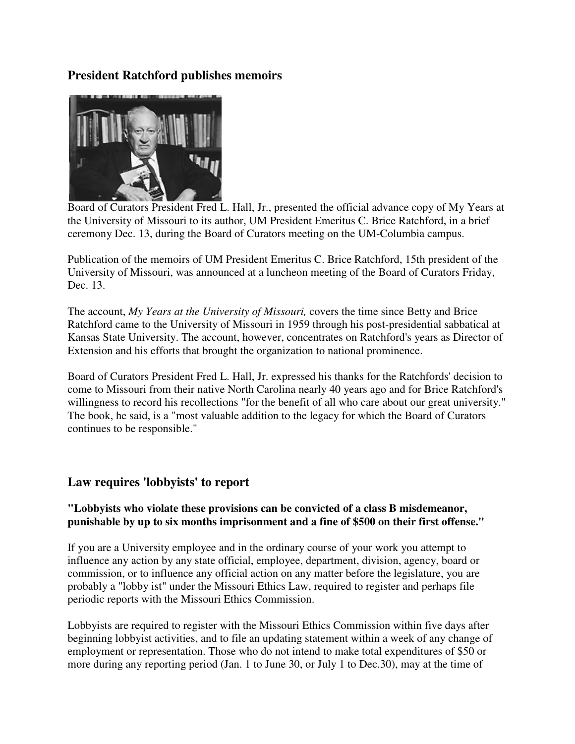### **President Ratchford publishes memoirs**



Board of Curators President Fred L. Hall, Jr., presented the official advance copy of My Years at the University of Missouri to its author, UM President Emeritus C. Brice Ratchford, in a brief ceremony Dec. 13, during the Board of Curators meeting on the UM-Columbia campus.

Publication of the memoirs of UM President Emeritus C. Brice Ratchford, 15th president of the University of Missouri, was announced at a luncheon meeting of the Board of Curators Friday, Dec. 13.

The account, *My Years at the University of Missouri,* covers the time since Betty and Brice Ratchford came to the University of Missouri in 1959 through his post-presidential sabbatical at Kansas State University. The account, however, concentrates on Ratchford's years as Director of Extension and his efforts that brought the organization to national prominence.

Board of Curators President Fred L. Hall, Jr. expressed his thanks for the Ratchfords' decision to come to Missouri from their native North Carolina nearly 40 years ago and for Brice Ratchford's willingness to record his recollections "for the benefit of all who care about our great university." The book, he said, is a "most valuable addition to the legacy for which the Board of Curators continues to be responsible."

### **Law requires 'lobbyists' to report**

#### **"Lobbyists who violate these provisions can be convicted of a class B misdemeanor, punishable by up to six months imprisonment and a fine of \$500 on their first offense."**

If you are a University employee and in the ordinary course of your work you attempt to influence any action by any state official, employee, department, division, agency, board or commission, or to influence any official action on any matter before the legislature, you are probably a "lobby ist" under the Missouri Ethics Law, required to register and perhaps file periodic reports with the Missouri Ethics Commission.

Lobbyists are required to register with the Missouri Ethics Commission within five days after beginning lobbyist activities, and to file an updating statement within a week of any change of employment or representation. Those who do not intend to make total expenditures of \$50 or more during any reporting period (Jan. 1 to June 30, or July 1 to Dec.30), may at the time of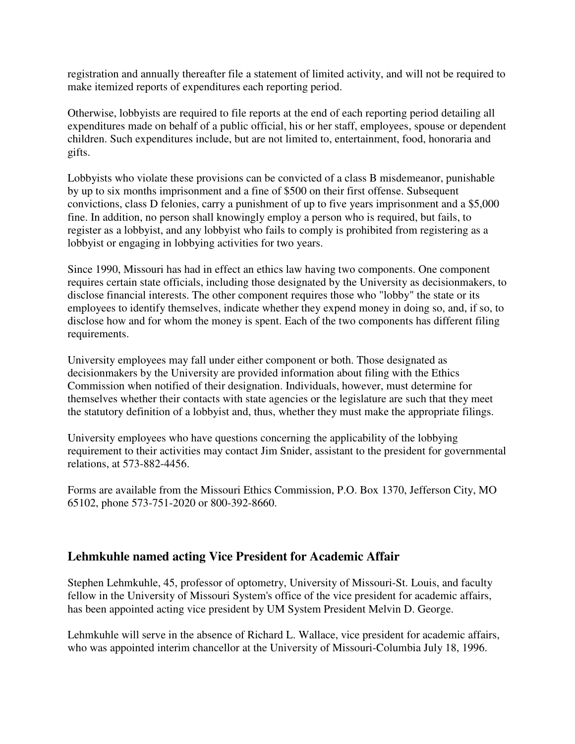registration and annually thereafter file a statement of limited activity, and will not be required to make itemized reports of expenditures each reporting period.

Otherwise, lobbyists are required to file reports at the end of each reporting period detailing all expenditures made on behalf of a public official, his or her staff, employees, spouse or dependent children. Such expenditures include, but are not limited to, entertainment, food, honoraria and gifts.

Lobbyists who violate these provisions can be convicted of a class B misdemeanor, punishable by up to six months imprisonment and a fine of \$500 on their first offense. Subsequent convictions, class D felonies, carry a punishment of up to five years imprisonment and a \$5,000 fine. In addition, no person shall knowingly employ a person who is required, but fails, to register as a lobbyist, and any lobbyist who fails to comply is prohibited from registering as a lobbyist or engaging in lobbying activities for two years.

Since 1990, Missouri has had in effect an ethics law having two components. One component requires certain state officials, including those designated by the University as decisionmakers, to disclose financial interests. The other component requires those who "lobby" the state or its employees to identify themselves, indicate whether they expend money in doing so, and, if so, to disclose how and for whom the money is spent. Each of the two components has different filing requirements.

University employees may fall under either component or both. Those designated as decisionmakers by the University are provided information about filing with the Ethics Commission when notified of their designation. Individuals, however, must determine for themselves whether their contacts with state agencies or the legislature are such that they meet the statutory definition of a lobbyist and, thus, whether they must make the appropriate filings.

University employees who have questions concerning the applicability of the lobbying requirement to their activities may contact Jim Snider, assistant to the president for governmental relations, at 573-882-4456.

Forms are available from the Missouri Ethics Commission, P.O. Box 1370, Jefferson City, MO 65102, phone 573-751-2020 or 800-392-8660.

### **Lehmkuhle named acting Vice President for Academic Affair**

Stephen Lehmkuhle, 45, professor of optometry, University of Missouri-St. Louis, and faculty fellow in the University of Missouri System's office of the vice president for academic affairs, has been appointed acting vice president by UM System President Melvin D. George.

Lehmkuhle will serve in the absence of Richard L. Wallace, vice president for academic affairs, who was appointed interim chancellor at the University of Missouri-Columbia July 18, 1996.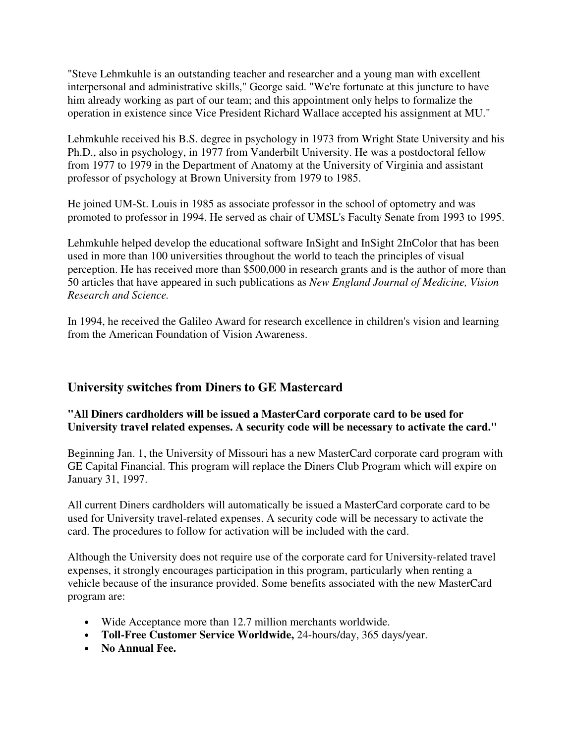"Steve Lehmkuhle is an outstanding teacher and researcher and a young man with excellent interpersonal and administrative skills," George said. "We're fortunate at this juncture to have him already working as part of our team; and this appointment only helps to formalize the operation in existence since Vice President Richard Wallace accepted his assignment at MU."

Lehmkuhle received his B.S. degree in psychology in 1973 from Wright State University and his Ph.D., also in psychology, in 1977 from Vanderbilt University. He was a postdoctoral fellow from 1977 to 1979 in the Department of Anatomy at the University of Virginia and assistant professor of psychology at Brown University from 1979 to 1985.

He joined UM-St. Louis in 1985 as associate professor in the school of optometry and was promoted to professor in 1994. He served as chair of UMSL's Faculty Senate from 1993 to 1995.

Lehmkuhle helped develop the educational software InSight and InSight 2InColor that has been used in more than 100 universities throughout the world to teach the principles of visual perception. He has received more than \$500,000 in research grants and is the author of more than 50 articles that have appeared in such publications as *New England Journal of Medicine, Vision Research and Science.*

In 1994, he received the Galileo Award for research excellence in children's vision and learning from the American Foundation of Vision Awareness.

### **University switches from Diners to GE Mastercard**

#### **"All Diners cardholders will be issued a MasterCard corporate card to be used for University travel related expenses. A security code will be necessary to activate the card."**

Beginning Jan. 1, the University of Missouri has a new MasterCard corporate card program with GE Capital Financial. This program will replace the Diners Club Program which will expire on January 31, 1997.

All current Diners cardholders will automatically be issued a MasterCard corporate card to be used for University travel-related expenses. A security code will be necessary to activate the card. The procedures to follow for activation will be included with the card.

Although the University does not require use of the corporate card for University-related travel expenses, it strongly encourages participation in this program, particularly when renting a vehicle because of the insurance provided. Some benefits associated with the new MasterCard program are:

- Wide Acceptance more than 12.7 million merchants worldwide.
- **Toll-Free Customer Service Worldwide,** 24-hours/day, 365 days/year.
- **No Annual Fee.**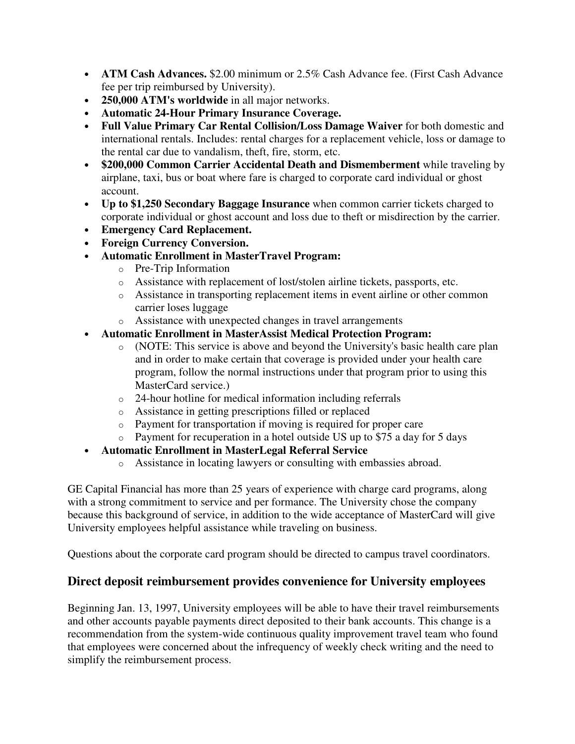- **ATM Cash Advances.** \$2.00 minimum or 2.5% Cash Advance fee. (First Cash Advance fee per trip reimbursed by University).
- **250,000 ATM's worldwide** in all major networks.
- **Automatic 24-Hour Primary Insurance Coverage.**
- **Full Value Primary Car Rental Collision/Loss Damage Waiver** for both domestic and international rentals. Includes: rental charges for a replacement vehicle, loss or damage to the rental car due to vandalism, theft, fire, storm, etc.
- **\$200,000 Common Carrier Accidental Death and Dismemberment** while traveling by airplane, taxi, bus or boat where fare is charged to corporate card individual or ghost account.
- **Up to \$1,250 Secondary Baggage Insurance** when common carrier tickets charged to corporate individual or ghost account and loss due to theft or misdirection by the carrier.
- **Emergency Card Replacement.**
- **Foreign Currency Conversion.**
- **Automatic Enrollment in MasterTravel Program:**
	- o Pre-Trip Information
	- o Assistance with replacement of lost/stolen airline tickets, passports, etc.
	- o Assistance in transporting replacement items in event airline or other common carrier loses luggage
	- o Assistance with unexpected changes in travel arrangements
- **Automatic Enrollment in MasterAssist Medical Protection Program:**
	- o (NOTE: This service is above and beyond the University's basic health care plan and in order to make certain that coverage is provided under your health care program, follow the normal instructions under that program prior to using this MasterCard service.)
	- o 24-hour hotline for medical information including referrals
	- o Assistance in getting prescriptions filled or replaced
	- o Payment for transportation if moving is required for proper care
	- o Payment for recuperation in a hotel outside US up to \$75 a day for 5 days
- **Automatic Enrollment in MasterLegal Referral Service** 
	- o Assistance in locating lawyers or consulting with embassies abroad.

GE Capital Financial has more than 25 years of experience with charge card programs, along with a strong commitment to service and per formance. The University chose the company because this background of service, in addition to the wide acceptance of MasterCard will give University employees helpful assistance while traveling on business.

Questions about the corporate card program should be directed to campus travel coordinators.

# **Direct deposit reimbursement provides convenience for University employees**

Beginning Jan. 13, 1997, University employees will be able to have their travel reimbursements and other accounts payable payments direct deposited to their bank accounts. This change is a recommendation from the system-wide continuous quality improvement travel team who found that employees were concerned about the infrequency of weekly check writing and the need to simplify the reimbursement process.